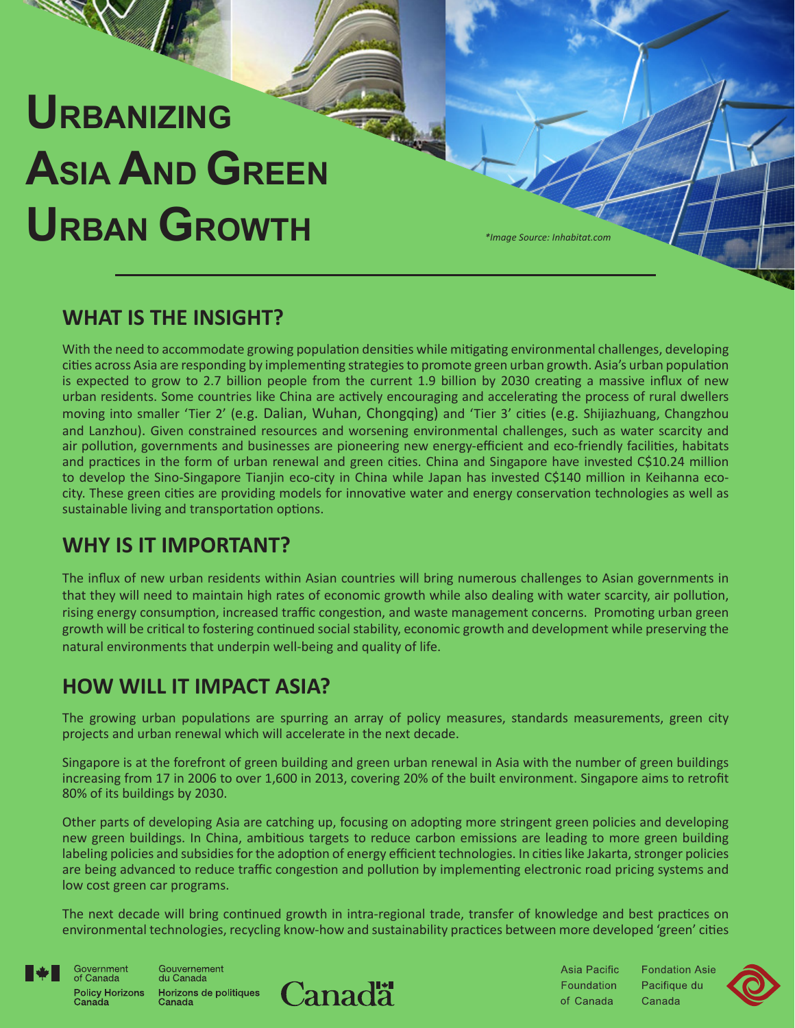# **URBANIZING ASIA AND GREEN URBAN GROWTH** *\*Image Source: Inhabitat.com*

## **WHAT IS THE INSIGHT?**

With the need to accommodate growing population densities while mitigating environmental challenges, developing cities across Asia are responding by implementing strategies to promote green urban growth. Asia's urban population is expected to grow to 2.7 billion people from the current 1.9 billion by 2030 creating a massive influx of new urban residents. Some countries like China are actively encouraging and accelerating the process of rural dwellers moving into smaller 'Tier 2' (e.g. Dalian, Wuhan, Chongqing) and 'Tier 3' cities (e.g. Shijiazhuang, Changzhou and Lanzhou). Given constrained resources and worsening environmental challenges, such as water scarcity and air pollution, governments and businesses are pioneering new energy-efficient and eco-friendly facilities, habitats and practices in the form of urban renewal and green cities. China and Singapore have invested C\$10.24 million to develop the Sino-Singapore Tianjin eco-city in China while Japan has invested C\$140 million in Keihanna ecocity. These green cities are providing models for innovative water and energy conservation technologies as well as sustainable living and transportation options.

## **WHY IS IT IMPORTANT?**

The influx of new urban residents within Asian countries will bring numerous challenges to Asian governments in that they will need to maintain high rates of economic growth while also dealing with water scarcity, air pollution, rising energy consumption, increased traffic congestion, and waste management concerns. Promoting urban green growth will be critical to fostering continued social stability, economic growth and development while preserving the natural environments that underpin well-being and quality of life.

# **HOW WILL IT IMPACT ASIA?**

The growing urban populations are spurring an array of policy measures, standards measurements, green city projects and urban renewal which will accelerate in the next decade.

Singapore is at the forefront of green building and green urban renewal in Asia with the number of green buildings increasing from 17 in 2006 to over 1,600 in 2013, covering 20% of the built environment. Singapore aims to retrofit 80% of its buildings by 2030.

Other parts of developing Asia are catching up, focusing on adopting more stringent green policies and developing new green buildings. In China, ambitious targets to reduce carbon emissions are leading to more green building labeling policies and subsidies for the adoption of energy efficient technologies. In cities like Jakarta, stronger policies are being advanced to reduce traffic congestion and pollution by implementing electronic road pricing systems and low cost green car programs.

The next decade will bring continued growth in intra-regional trade, transfer of knowledge and best practices on environmental technologies, recycling know-how and sustainability practices between more developed 'green' cities



Canada

Government<br>of Canada Gouvernement<br>du Canada Horizons de politiques<br>Canada **Policy Horizons** 



**Asia Pacific Fondation Asie** Foundation Pacifique du of Canada Canada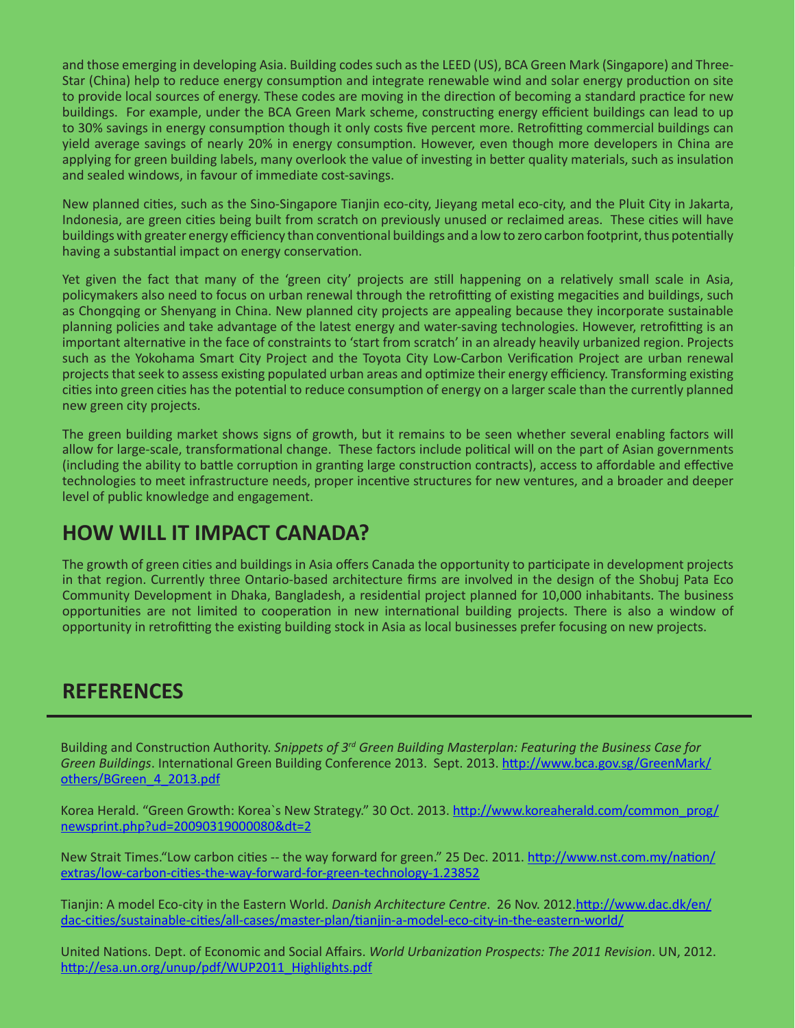and those emerging in developing Asia. Building codes such as the LEED (US), BCA Green Mark (Singapore) and Three-Star (China) help to reduce energy consumption and integrate renewable wind and solar energy production on site to provide local sources of energy. These codes are moving in the direction of becoming a standard practice for new buildings. For example, under the BCA Green Mark scheme, constructing energy efficient buildings can lead to up to 30% savings in energy consumption though it only costs five percent more. Retrofitting commercial buildings can yield average savings of nearly 20% in energy consumption. However, even though more developers in China are applying for green building labels, many overlook the value of investing in better quality materials, such as insulation and sealed windows, in favour of immediate cost-savings.

New planned cities, such as the Sino-Singapore Tianjin eco-city, Jieyang metal eco-city, and the Pluit City in Jakarta, Indonesia, are green cities being built from scratch on previously unused or reclaimed areas. These cities will have buildings with greater energy efficiency than conventional buildings and a low to zero carbon footprint, thus potentially having a substantial impact on energy conservation.

Yet given the fact that many of the 'green city' projects are still happening on a relatively small scale in Asia, policymakers also need to focus on urban renewal through the retrofitting of existing megacities and buildings, such as Chongqing or Shenyang in China. New planned city projects are appealing because they incorporate sustainable planning policies and take advantage of the latest energy and water-saving technologies. However, retrofitting is an important alternative in the face of constraints to 'start from scratch' in an already heavily urbanized region. Projects such as the Yokohama Smart City Project and the Toyota City Low-Carbon Verification Project are urban renewal projects that seek to assess existing populated urban areas and optimize their energy efficiency. Transforming existing cities into green cities has the potential to reduce consumption of energy on a larger scale than the currently planned new green city projects.

The green building market shows signs of growth, but it remains to be seen whether several enabling factors will allow for large-scale, transformational change. These factors include political will on the part of Asian governments (including the ability to battle corruption in granting large construction contracts), access to affordable and effective technologies to meet infrastructure needs, proper incentive structures for new ventures, and a broader and deeper level of public knowledge and engagement.

#### **HOW WILL IT IMPACT CANADA?**

The growth of green cities and buildings in Asia offers Canada the opportunity to participate in development projects in that region. Currently three Ontario-based architecture firms are involved in the design of the Shobuj Pata Eco Community Development in Dhaka, Bangladesh, a residential project planned for 10,000 inhabitants. The business opportunities are not limited to cooperation in new international building projects. There is also a window of opportunity in retrofitting the existing building stock in Asia as local businesses prefer focusing on new projects.

### **REFERENCES**

Building and Construction Authority. *Snippets of 3rd Green Building Masterplan: Featuring the Business Case for Green Buildings*. International Green Building Conference 2013. Sept. 2013. [http://www.bca.gov.sg/GreenMark/](http://www.bca.gov.sg/GreenMark/others/BGreen_4_2013.pdf) [others/BGreen\\_4\\_2013.pdf](http://www.bca.gov.sg/GreenMark/others/BGreen_4_2013.pdf)

Korea Herald. "Green Growth: Korea`s New Strategy." 30 Oct. 2013. [http://www.koreaherald.com/common\\_prog/](http://www.koreaherald.com/common_prog/newsprint.php?ud=20090319000080&dt=2) [newsprint.php?ud=20090319000080&dt=2](http://www.koreaherald.com/common_prog/newsprint.php?ud=20090319000080&dt=2)

New Strait Times."Low carbon cities -- the way forward for green." 25 Dec. 2011. [http://www.nst.com.my/nation/](http://www.nst.com.my/nation/extras/low-carbon-cities-the-way-forward-for-green-technology-1.23852) [extras/low-carbon-cities-the-way-forward-for-green-technology-1.23852](http://www.nst.com.my/nation/extras/low-carbon-cities-the-way-forward-for-green-technology-1.23852)

Tianjin: A model Eco-city in the Eastern World. *Danish Architecture Centre*. 26 Nov. 2012.[http://www.dac.dk/en/](http://www.dac.dk/en/dac-cities/sustainable-cities/all-cases/master-plan/tianjin-a-model-eco-city-in-the-eastern-world/) [dac-cities/sustainable-cities/all-cases/master-plan/tianjin-a-model-eco-city-in-the-eastern-world/](http://www.dac.dk/en/dac-cities/sustainable-cities/all-cases/master-plan/tianjin-a-model-eco-city-in-the-eastern-world/)

United Nations. Dept. of Economic and Social Affairs. *World Urbanization Prospects: The 2011 Revision*. UN, 2012. [http://esa.un.org/unup/pdf/WUP2011\\_Highlights.pdf](http://esa.un.org/unup/pdf/WUP2011_Highlights.pdf)